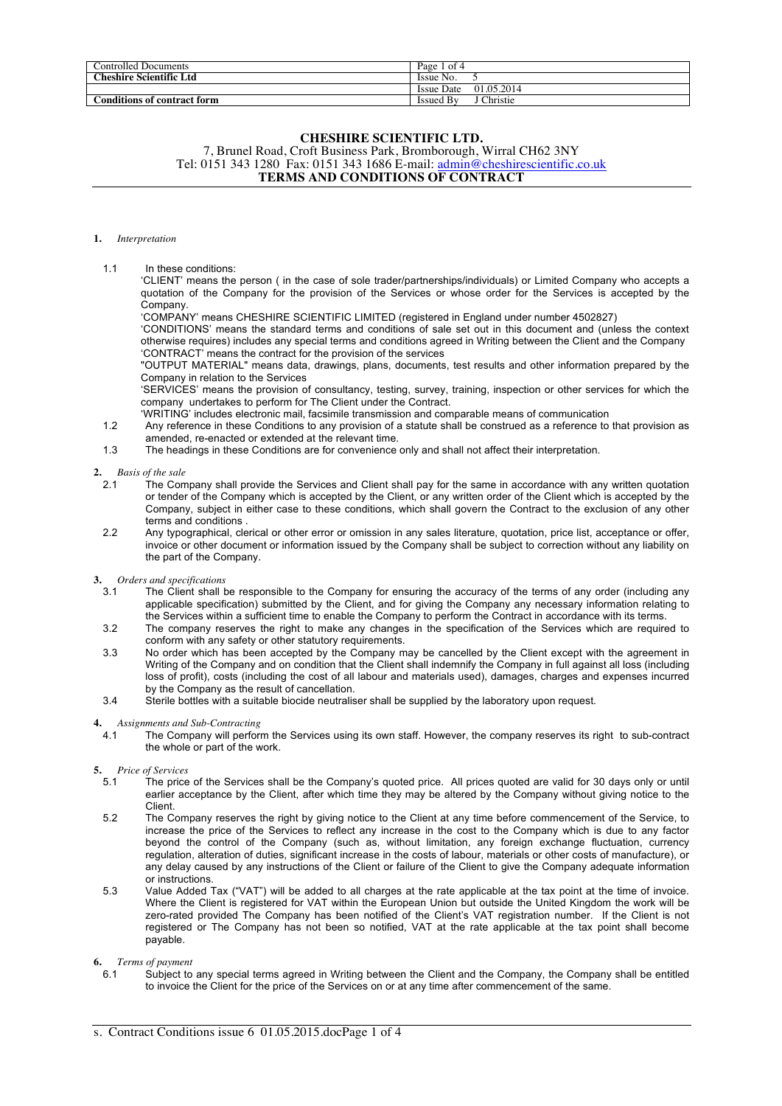| Controlled Documents               | Page 1<br>-ot 4                        |
|------------------------------------|----------------------------------------|
| <b>Theshire Scientific Ltd</b>     | Issue No.                              |
|                                    | 01.05.2014<br>Issue Date               |
| <b>Conditions of contract form</b> | $\sim$ $\sim$<br>Issued By<br>:hristie |

### **CHESHIRE SCIENTIFIC LTD.**

7, Brunel Road, Croft Business Park, Bromborough, Wirral CH62 3NY Tel: 0151 343 1280 Fax: 0151 343 1686 E-mail: admin@cheshirescientific.co.uk **TERMS AND CONDITIONS OF CONTRACT**

### **1.** *Interpretation*

### 1.1 In these conditions:

'CLIENT' means the person ( in the case of sole trader/partnerships/individuals) or Limited Company who accepts a quotation of the Company for the provision of the Services or whose order for the Services is accepted by the Company.

'COMPANY' means CHESHIRE SCIENTIFIC LIMITED (registered in England under number 4502827)

'CONDITIONS' means the standard terms and conditions of sale set out in this document and (unless the context otherwise requires) includes any special terms and conditions agreed in Writing between the Client and the Company 'CONTRACT' means the contract for the provision of the services

"OUTPUT MATERIAL" means data, drawings, plans, documents, test results and other information prepared by the Company in relation to the Services

'SERVICES' means the provision of consultancy, testing, survey, training, inspection or other services for which the company undertakes to perform for The Client under the Contract.

'WRITING' includes electronic mail, facsimile transmission and comparable means of communication

1.2 Any reference in these Conditions to any provision of a statute shall be construed as a reference to that provision as amended, re-enacted or extended at the relevant time.

1.3 The headings in these Conditions are for convenience only and shall not affect their interpretation.

#### **2.** *Basis of the sale*

- 2.1 The Company shall provide the Services and Client shall pay for the same in accordance with any written quotation or tender of the Company which is accepted by the Client, or any written order of the Client which is accepted by the Company, subject in either case to these conditions, which shall govern the Contract to the exclusion of any other terms and conditions .
- 2.2 Any typographical, clerical or other error or omission in any sales literature, quotation, price list, acceptance or offer, invoice or other document or information issued by the Company shall be subject to correction without any liability on the part of the Company.

### **3.** *Orders and specifications*

- 3.1 The Client shall be responsible to the Company for ensuring the accuracy of the terms of any order (including any applicable specification) submitted by the Client, and for giving the Company any necessary information relating to the Services within a sufficient time to enable the Company to perform the Contract in accordance with its terms.
- 3.2 The company reserves the right to make any changes in the specification of the Services which are required to conform with any safety or other statutory requirements.
- 3.3 No order which has been accepted by the Company may be cancelled by the Client except with the agreement in Writing of the Company and on condition that the Client shall indemnify the Company in full against all loss (including loss of profit), costs (including the cost of all labour and materials used), damages, charges and expenses incurred by the Company as the result of cancellation.
- 3.4 Sterile bottles with a suitable biocide neutraliser shall be supplied by the laboratory upon request.

#### **4.** *Assignments and Sub-Contracting*

- 4.1 The Company will perform the Services using its own staff. However, the company reserves its right to sub-contract the whole or part of the work.
- **5.** *Price of Services*
	- 5.1 The price of the Services shall be the Company's quoted price. All prices quoted are valid for 30 days only or until earlier acceptance by the Client, after which time they may be altered by the Company without giving notice to the Client.
	- 5.2 The Company reserves the right by giving notice to the Client at any time before commencement of the Service, to increase the price of the Services to reflect any increase in the cost to the Company which is due to any factor beyond the control of the Company (such as, without limitation, any foreign exchange fluctuation, currency regulation, alteration of duties, significant increase in the costs of labour, materials or other costs of manufacture), or any delay caused by any instructions of the Client or failure of the Client to give the Company adequate information or instructions.
	- 5.3 Value Added Tax ("VAT") will be added to all charges at the rate applicable at the tax point at the time of invoice. Where the Client is registered for VAT within the European Union but outside the United Kingdom the work will be zero-rated provided The Company has been notified of the Client's VAT registration number. If the Client is not registered or The Company has not been so notified, VAT at the rate applicable at the tax point shall become payable.

# **6.** *Terms of payment*

Subject to any special terms agreed in Writing between the Client and the Company, the Company shall be entitled to invoice the Client for the price of the Services on or at any time after commencement of the same.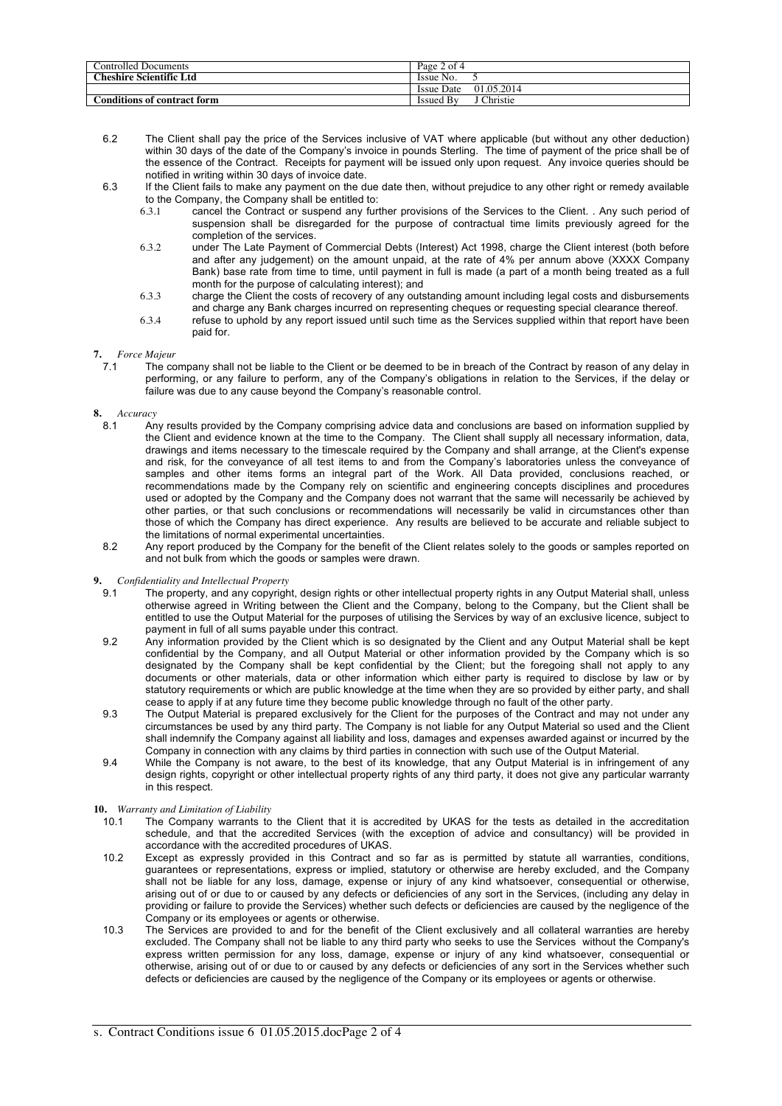| Controlled Documents           | Page 2 of 4              |
|--------------------------------|--------------------------|
| <b>Cheshire Scientific Ltd</b> | Issue No.                |
|                                | 01.05.2014<br>Issue Date |
| Conditions of contract form    | Christie<br>Issued By    |

- 6.2 The Client shall pay the price of the Services inclusive of VAT where applicable (but without any other deduction) within 30 days of the date of the Company's invoice in pounds Sterling. The time of payment of the price shall be of the essence of the Contract. Receipts for payment will be issued only upon request. Any invoice queries should be notified in writing within 30 days of invoice date.
- 6.3 If the Client fails to make any payment on the due date then, without prejudice to any other right or remedy available to the Company, the Company shall be entitled to:<br>6.3.1 cancel the Contract or suspend any furt
	- 6.3.1 cancel the Contract or suspend any further provisions of the Services to the Client. . Any such period of suspension shall be disregarded for the purpose of contractual time limits previously agreed for the completion of the services.
	- 6.3.2 under The Late Payment of Commercial Debts (Interest) Act 1998, charge the Client interest (both before and after any judgement) on the amount unpaid, at the rate of 4% per annum above (XXXX Company Bank) base rate from time to time, until payment in full is made (a part of a month being treated as a full month for the purpose of calculating interest); and
	- 6.3.3 charge the Client the costs of recovery of any outstanding amount including legal costs and disbursements and charge any Bank charges incurred on representing cheques or requesting special clearance thereof.
	- 6.3.4 refuse to uphold by any report issued until such time as the Services supplied within that report have been paid for.

# **7.** *Force Majeur*

7.1 The company shall not be liable to the Client or be deemed to be in breach of the Contract by reason of any delay in performing, or any failure to perform, any of the Company's obligations in relation to the Services, if the delay or failure was due to any cause beyond the Company's reasonable control.

### **8.** *Accuracy*

- Any results provided by the Company comprising advice data and conclusions are based on information supplied by the Client and evidence known at the time to the Company. The Client shall supply all necessary information, data, drawings and items necessary to the timescale required by the Company and shall arrange, at the Client's expense and risk, for the conveyance of all test items to and from the Company's laboratories unless the conveyance of samples and other items forms an integral part of the Work. All Data provided, conclusions reached, or recommendations made by the Company rely on scientific and engineering concepts disciplines and procedures used or adopted by the Company and the Company does not warrant that the same will necessarily be achieved by other parties, or that such conclusions or recommendations will necessarily be valid in circumstances other than those of which the Company has direct experience. Any results are believed to be accurate and reliable subject to the limitations of normal experimental uncertainties.
- 8.2 Any report produced by the Company for the benefit of the Client relates solely to the goods or samples reported on and not bulk from which the goods or samples were drawn.

### **9.** *Confidentiality and Intellectual Property*

- The property, and any copyright, design rights or other intellectual property rights in any Output Material shall, unless otherwise agreed in Writing between the Client and the Company, belong to the Company, but the Client shall be entitled to use the Output Material for the purposes of utilising the Services by way of an exclusive licence, subject to payment in full of all sums payable under this contract.
- 9.2 Any information provided by the Client which is so designated by the Client and any Output Material shall be kept confidential by the Company, and all Output Material or other information provided by the Company which is so designated by the Company shall be kept confidential by the Client; but the foregoing shall not apply to any documents or other materials, data or other information which either party is required to disclose by law or by statutory requirements or which are public knowledge at the time when they are so provided by either party, and shall cease to apply if at any future time they become public knowledge through no fault of the other party.
- 9.3 The Output Material is prepared exclusively for the Client for the purposes of the Contract and may not under any circumstances be used by any third party. The Company is not liable for any Output Material so used and the Client shall indemnify the Company against all liability and loss, damages and expenses awarded against or incurred by the Company in connection with any claims by third parties in connection with such use of the Output Material.
- 9.4 While the Company is not aware, to the best of its knowledge, that any Output Material is in infringement of any design rights, copyright or other intellectual property rights of any third party, it does not give any particular warranty in this respect.

### **10.** *Warranty and Limitation of Liability*

- 10.1 The Company warrants to the Client that it is accredited by UKAS for the tests as detailed in the accreditation schedule, and that the accredited Services (with the exception of advice and consultancy) will be provided in accordance with the accredited procedures of UKAS.
- 10.2 Except as expressly provided in this Contract and so far as is permitted by statute all warranties, conditions, guarantees or representations, express or implied, statutory or otherwise are hereby excluded, and the Company shall not be liable for any loss, damage, expense or injury of any kind whatsoever, consequential or otherwise, arising out of or due to or caused by any defects or deficiencies of any sort in the Services, (including any delay in providing or failure to provide the Services) whether such defects or deficiencies are caused by the negligence of the Company or its employees or agents or otherwise.
- 10.3 The Services are provided to and for the benefit of the Client exclusively and all collateral warranties are hereby excluded. The Company shall not be liable to any third party who seeks to use the Services without the Company's express written permission for any loss, damage, expense or injury of any kind whatsoever, consequential or otherwise, arising out of or due to or caused by any defects or deficiencies of any sort in the Services whether such defects or deficiencies are caused by the negligence of the Company or its employees or agents or otherwise.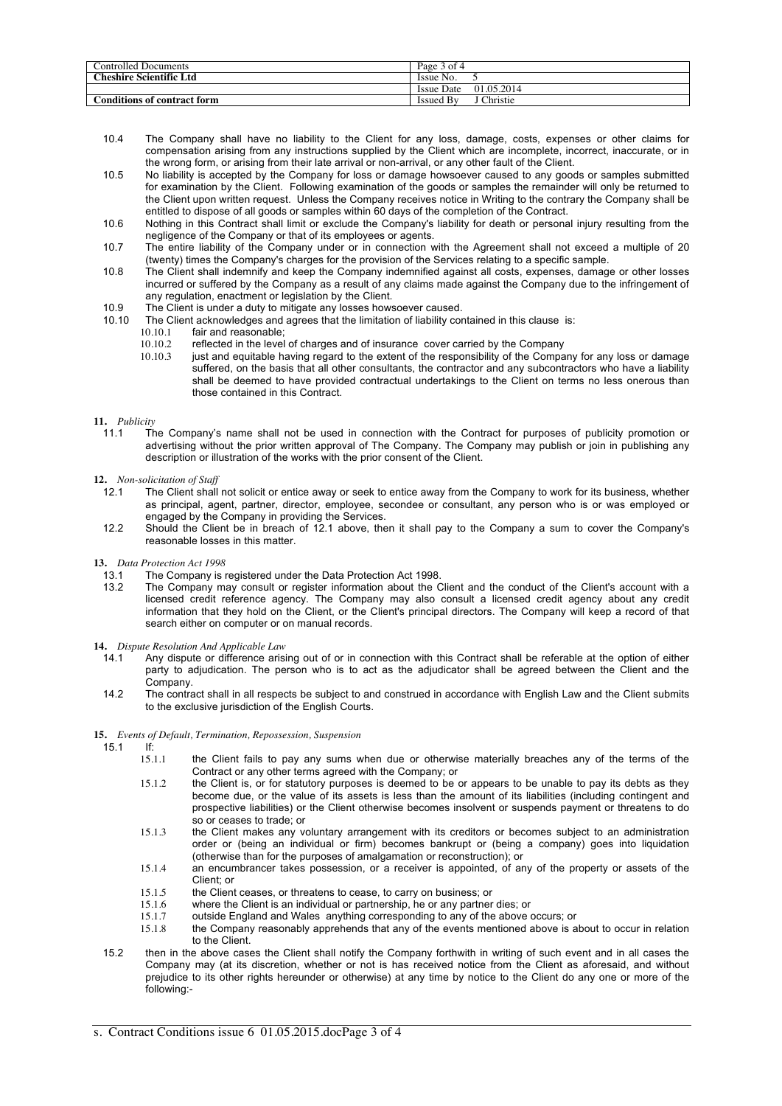| Controlled Documents           | Page 3 of 4                     |
|--------------------------------|---------------------------------|
| <b>Cheshire Scientific Ltd</b> | Issue No.                       |
|                                | 01.05.2014<br><b>Issue Date</b> |
| Conditions of contract form    | Christie<br><b>Issued By</b>    |

- 10.4 The Company shall have no liability to the Client for any loss, damage, costs, expenses or other claims for compensation arising from any instructions supplied by the Client which are incomplete, incorrect, inaccurate, or in the wrong form, or arising from their late arrival or non-arrival, or any other fault of the Client.
- 10.5 No liability is accepted by the Company for loss or damage howsoever caused to any goods or samples submitted for examination by the Client. Following examination of the goods or samples the remainder will only be returned to the Client upon written request. Unless the Company receives notice in Writing to the contrary the Company shall be entitled to dispose of all goods or samples within 60 days of the completion of the Contract.
- 10.6 Nothing in this Contract shall limit or exclude the Company's liability for death or personal injury resulting from the negligence of the Company or that of its employees or agents.
- 10.7 The entire liability of the Company under or in connection with the Agreement shall not exceed a multiple of 20 (twenty) times the Company's charges for the provision of the Services relating to a specific sample.
- 10.8 The Client shall indemnify and keep the Company indemnified against all costs, expenses, damage or other losses incurred or suffered by the Company as a result of any claims made against the Company due to the infringement of any regulation, enactment or legislation by the Client.
- 10.9 The Client is under a duty to mitigate any losses howsoever caused.
- 10.10 The Client acknowledges and agrees that the limitation of liability contained in this clause is:
	- 10.10.1 fair and reasonable;<br>10.10.2 reflected in the level
		- 10.10.2 reflected in the level of charges and of insurance cover carried by the Company<br>10.10.3 iust and equitable having regard to the extent of the responsibility of the Compa
			- just and equitable having regard to the extent of the responsibility of the Company for any loss or damage suffered, on the basis that all other consultants, the contractor and any subcontractors who have a liability shall be deemed to have provided contractual undertakings to the Client on terms no less onerous than those contained in this Contract.
- **11.** *Publicity*
	- 11.1 The Company's name shall not be used in connection with the Contract for purposes of publicity promotion or advertising without the prior written approval of The Company. The Company may publish or join in publishing any description or illustration of the works with the prior consent of the Client.
- **12.** *Non-solicitation of Staff*
- The Client shall not solicit or entice away or seek to entice away from the Company to work for its business, whether as principal, agent, partner, director, employee, secondee or consultant, any person who is or was employed or engaged by the Company in providing the Services.
- 12.2 Should the Client be in breach of 12.1 above, then it shall pay to the Company a sum to cover the Company's reasonable losses in this matter.
- **13.** *Data Protection Act 1998*
	- 13.1 The Company is registered under the Data Protection Act 1998.<br>13.2 The Company may consult or register information about the C
	- The Company may consult or register information about the Client and the conduct of the Client's account with a licensed credit reference agency. The Company may also consult a licensed credit agency about any credit information that they hold on the Client, or the Client's principal directors. The Company will keep a record of that search either on computer or on manual records.
- **14.** *Dispute Resolution And Applicable Law*
	- 14.1 Any dispute or difference arising out of or in connection with this Contract shall be referable at the option of either party to adjudication. The person who is to act as the adjudicator shall be agreed between the Client and the Company.
	- 14.2 The contract shall in all respects be subject to and construed in accordance with English Law and the Client submits to the exclusive jurisdiction of the English Courts.

### **15.** *Events of Default, Termination, Repossession, Suspension*

- 15.1 If:<br> $\frac{15.1.1}{2}$ 
	- the Client fails to pay any sums when due or otherwise materially breaches any of the terms of the Contract or any other terms agreed with the Company; or
	- 15.1.2 the Client is, or for statutory purposes is deemed to be or appears to be unable to pay its debts as they become due, or the value of its assets is less than the amount of its liabilities (including contingent and prospective liabilities) or the Client otherwise becomes insolvent or suspends payment or threatens to do so or ceases to trade; or
	- 15.1.3 the Client makes any voluntary arrangement with its creditors or becomes subject to an administration order or (being an individual or firm) becomes bankrupt or (being a company) goes into liquidation (otherwise than for the purposes of amalgamation or reconstruction); or
	- 15.1.4 an encumbrancer takes possession, or a receiver is appointed, of any of the property or assets of the Client; or
	- 15.1.5 the Client ceases, or threatens to cease, to carry on business; or 15.1.6 where the Client is an individual or partnership. he or any partner
	- 15.1.6 where the Client is an individual or partnership, he or any partner dies; or<br>15.1.7 outside England and Wales, anything corresponding to any of the above of
	- 15.1.7 outside England and Wales anything corresponding to any of the above occurs; or<br>15.1.8 the Company reasonably apprehends that any of the events mentioned above is a
	- the Company reasonably apprehends that any of the events mentioned above is about to occur in relation to the Client.
- 15.2 then in the above cases the Client shall notify the Company forthwith in writing of such event and in all cases the Company may (at its discretion, whether or not is has received notice from the Client as aforesaid, and without prejudice to its other rights hereunder or otherwise) at any time by notice to the Client do any one or more of the following:-